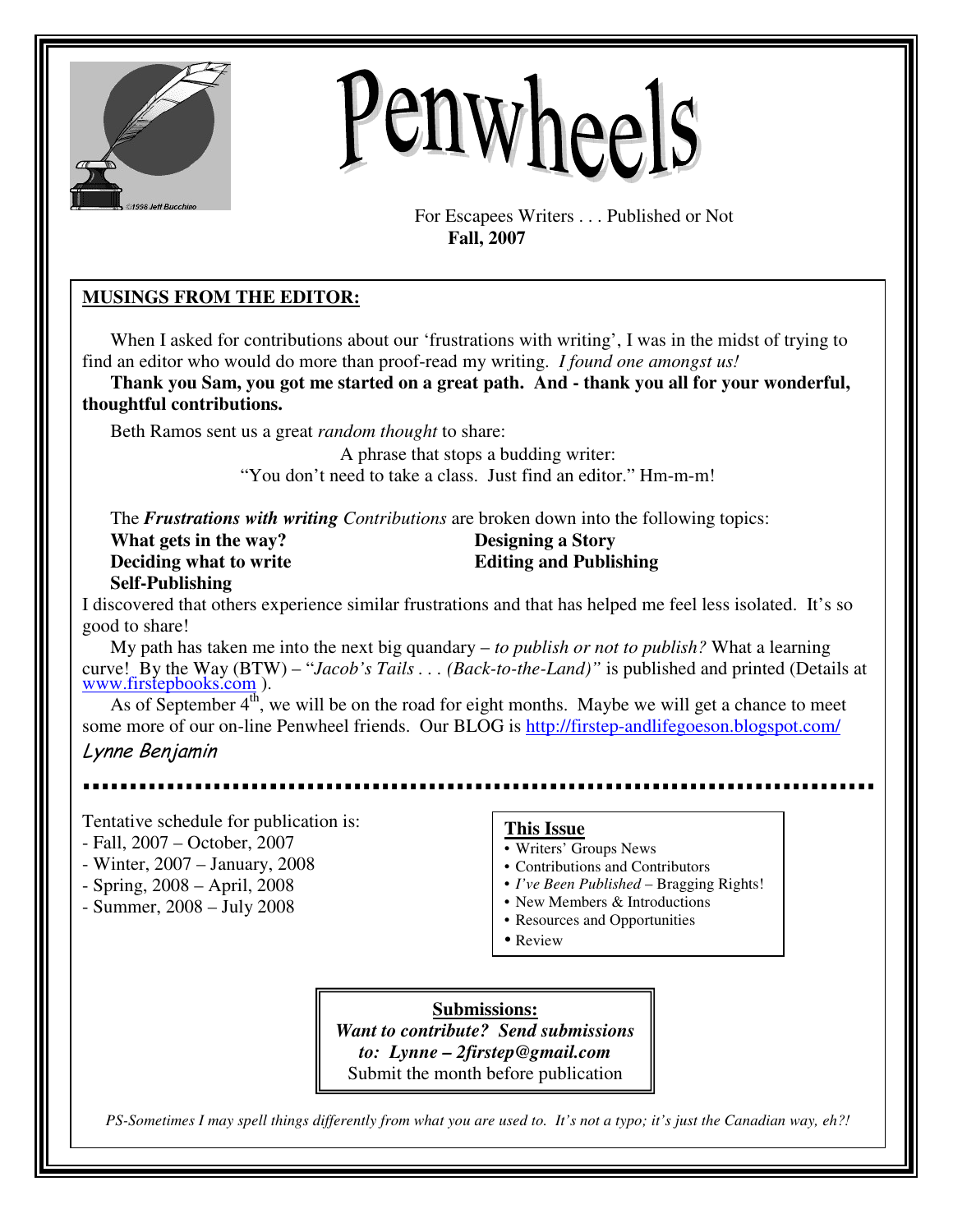

# Penwheels

For Escapees Writers . . . Published or Not  **Fall, 2007** 

# **MUSINGS FROM THE EDITOR:**

When I asked for contributions about our 'frustrations with writing', I was in the midst of trying to find an editor who would do more than proof-read my writing. *I found one amongst us!*

**Thank you Sam, you got me started on a great path. And - thank you all for your wonderful, thoughtful contributions.** 

Beth Ramos sent us a great *random thought* to share:

A phrase that stops a budding writer:

"You don't need to take a class. Just find an editor." Hm-m-m!

The *Frustrations with writing Contributions* are broken down into the following topics:

| What gets in the way?  | <b>Designing a Story</b>      |
|------------------------|-------------------------------|
| Deciding what to write | <b>Editing and Publishing</b> |
| <b>Self-Publishing</b> |                               |

I discovered that others experience similar frustrations and that has helped me feel less isolated. It's so good to share!

My path has taken me into the next big quandary – *to publish or not to publish?* What a learning curve! By the Way (BTW) – "*Jacob's Tails . . . (Back-to-the-Land)"* is published and printed (Details at www.firstepbooks.com ).

As of September  $4<sup>th</sup>$ , we will be on the road for eight months. Maybe we will get a chance to meet some more of our on-line Penwheel friends. Our BLOG is http://firstep-andlifegoeson.blogspot.com/ Lynne Benjamin

- Tentative schedule for publication is:
- Fall, 2007 October, 2007
- Winter, 2007 January, 2008
- Spring, 2008 April, 2008
- Summer, 2008 July 2008

# **This Issue**

- Writers' Groups News
- Contributions and Contributors
- *I've Been Published* Bragging Rights!
- New Members & Introductions
- Resources and Opportunities
- Review

**Submissions:** *Want to contribute? Send submissions to: Lynne – 2firstep@gmail.com* Submit the month before publication

*PS-Sometimes I may spell things differently from what you are used to. It's not a typo; it's just the Canadian way, eh?!*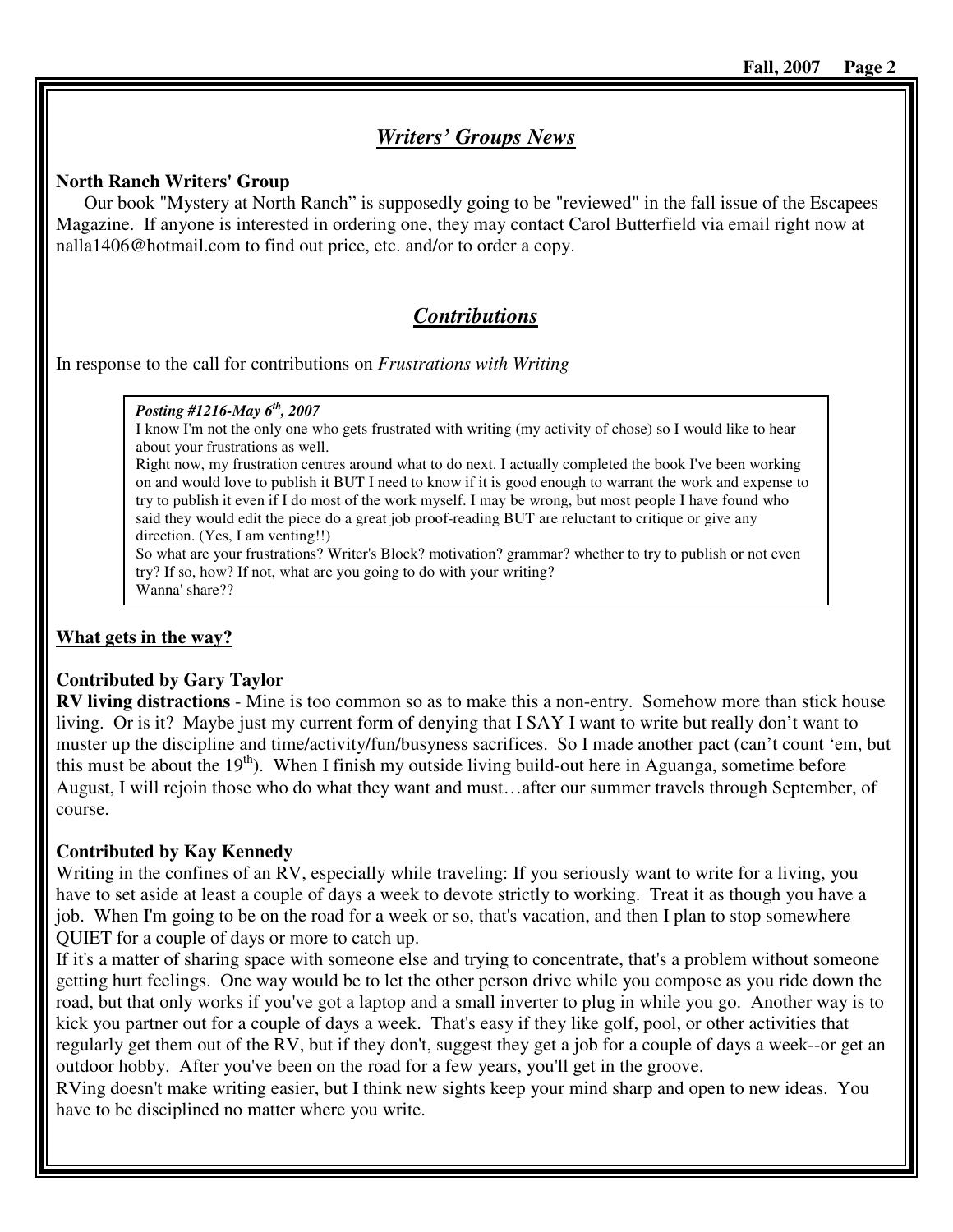# *Writers' Groups News*

#### **North Ranch Writers' Group**

Our book "Mystery at North Ranch" is supposedly going to be "reviewed" in the fall issue of the Escapees Magazine. If anyone is interested in ordering one, they may contact Carol Butterfield via email right now at nalla1406@hotmail.com to find out price, etc. and/or to order a copy.

# *Contributions*

In response to the call for contributions on *Frustrations with Writing* 

#### *Posting #1216-May 6th, 2007*

I know I'm not the only one who gets frustrated with writing (my activity of chose) so I would like to hear about your frustrations as well.

Right now, my frustration centres around what to do next. I actually completed the book I've been working on and would love to publish it BUT I need to know if it is good enough to warrant the work and expense to try to publish it even if I do most of the work myself. I may be wrong, but most people I have found who said they would edit the piece do a great job proof-reading BUT are reluctant to critique or give any direction. (Yes, I am venting!!)

So what are your frustrations? Writer's Block? motivation? grammar? whether to try to publish or not even try? If so, how? If not, what are you going to do with your writing? Wanna' share??

### **What gets in the way?**

#### **Contributed by Gary Taylor**

**RV living distractions** - Mine is too common so as to make this a non-entry. Somehow more than stick house living. Or is it? Maybe just my current form of denying that I SAY I want to write but really don't want to muster up the discipline and time/activity/fun/busyness sacrifices. So I made another pact (can't count 'em, but this must be about the  $19<sup>th</sup>$ . When I finish my outside living build-out here in Aguanga, sometime before August, I will rejoin those who do what they want and must…after our summer travels through September, of course.

### **Contributed by Kay Kennedy**

Writing in the confines of an RV, especially while traveling: If you seriously want to write for a living, you have to set aside at least a couple of days a week to devote strictly to working. Treat it as though you have a job. When I'm going to be on the road for a week or so, that's vacation, and then I plan to stop somewhere QUIET for a couple of days or more to catch up.

If it's a matter of sharing space with someone else and trying to concentrate, that's a problem without someone getting hurt feelings. One way would be to let the other person drive while you compose as you ride down the road, but that only works if you've got a laptop and a small inverter to plug in while you go. Another way is to kick you partner out for a couple of days a week. That's easy if they like golf, pool, or other activities that regularly get them out of the RV, but if they don't, suggest they get a job for a couple of days a week--or get an outdoor hobby. After you've been on the road for a few years, you'll get in the groove.

RVing doesn't make writing easier, but I think new sights keep your mind sharp and open to new ideas. You have to be disciplined no matter where you write.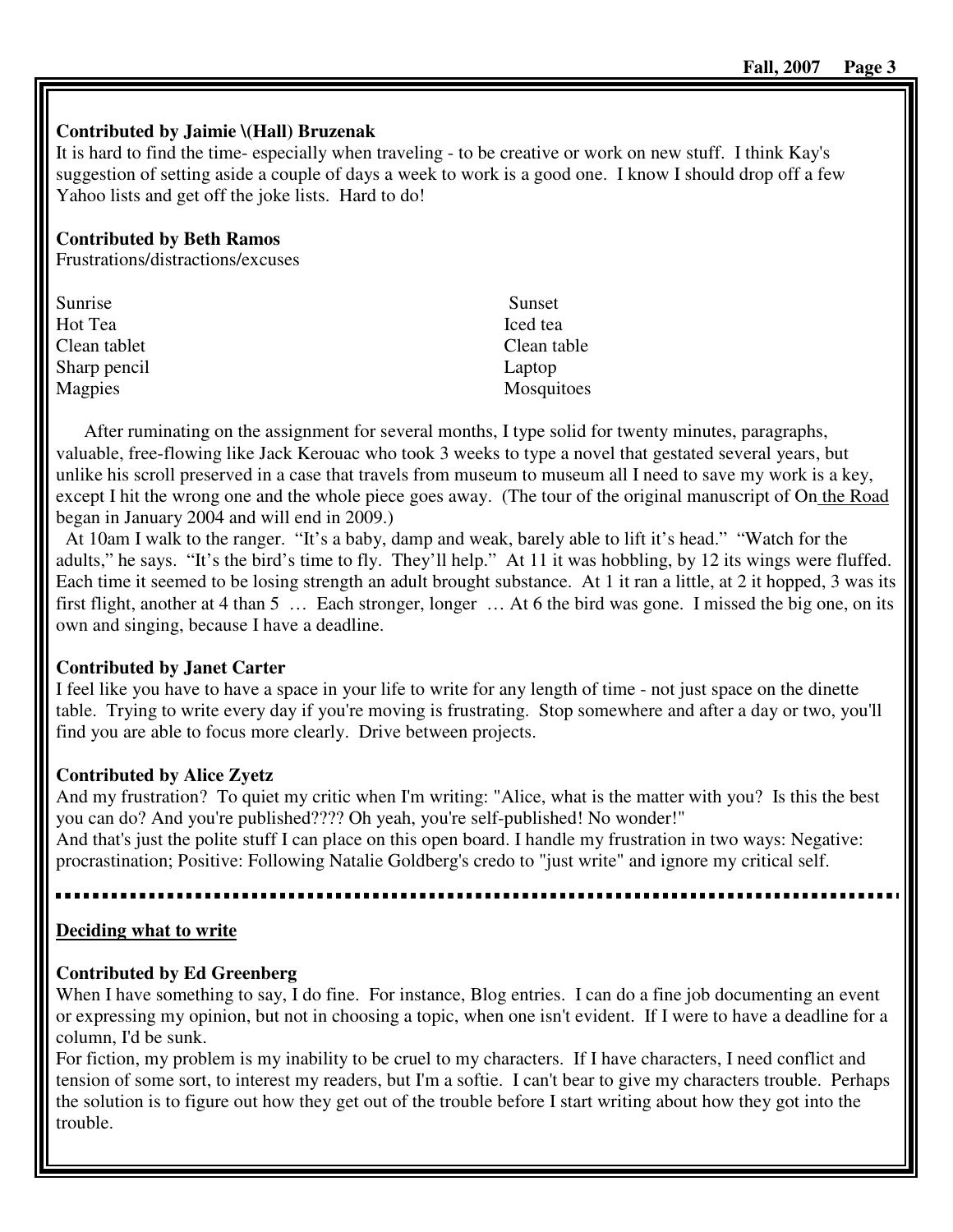# **Contributed by Jaimie \(Hall) Bruzenak**

It is hard to find the time- especially when traveling - to be creative or work on new stuff. I think Kay's suggestion of setting aside a couple of days a week to work is a good one. I know I should drop off a few Yahoo lists and get off the joke lists. Hard to do!

# **Contributed by Beth Ramos**

Frustrations/distractions/excuses

| Sunrise      | Sunset      |
|--------------|-------------|
| Hot Tea      | Iced tea    |
| Clean tablet | Clean table |
| Sharp pencil | Laptop      |
| Magpies      | Mosquitoes  |

After ruminating on the assignment for several months, I type solid for twenty minutes, paragraphs, valuable, free-flowing like Jack Kerouac who took 3 weeks to type a novel that gestated several years, but unlike his scroll preserved in a case that travels from museum to museum all I need to save my work is a key, except I hit the wrong one and the whole piece goes away. (The tour of the original manuscript of On the Road began in January 2004 and will end in 2009.)

 At 10am I walk to the ranger. "It's a baby, damp and weak, barely able to lift it's head." "Watch for the adults," he says. "It's the bird's time to fly. They'll help." At 11 it was hobbling, by 12 its wings were fluffed. Each time it seemed to be losing strength an adult brought substance. At 1 it ran a little, at 2 it hopped, 3 was its first flight, another at 4 than 5 … Each stronger, longer … At 6 the bird was gone. I missed the big one, on its own and singing, because I have a deadline.

# **Contributed by Janet Carter**

I feel like you have to have a space in your life to write for any length of time - not just space on the dinette table. Trying to write every day if you're moving is frustrating. Stop somewhere and after a day or two, you'll find you are able to focus more clearly. Drive between projects.

# **Contributed by Alice Zyetz**

And my frustration? To quiet my critic when I'm writing: "Alice, what is the matter with you? Is this the best you can do? And you're published???? Oh yeah, you're self-published! No wonder!"

And that's just the polite stuff I can place on this open board. I handle my frustration in two ways: Negative: procrastination; Positive: Following Natalie Goldberg's credo to "just write" and ignore my critical self.

# **Deciding what to write**

# **Contributed by Ed Greenberg**

When I have something to say, I do fine. For instance, Blog entries. I can do a fine job documenting an event or expressing my opinion, but not in choosing a topic, when one isn't evident. If I were to have a deadline for a column, I'd be sunk.

For fiction, my problem is my inability to be cruel to my characters. If I have characters, I need conflict and tension of some sort, to interest my readers, but I'm a softie. I can't bear to give my characters trouble. Perhaps the solution is to figure out how they get out of the trouble before I start writing about how they got into the trouble.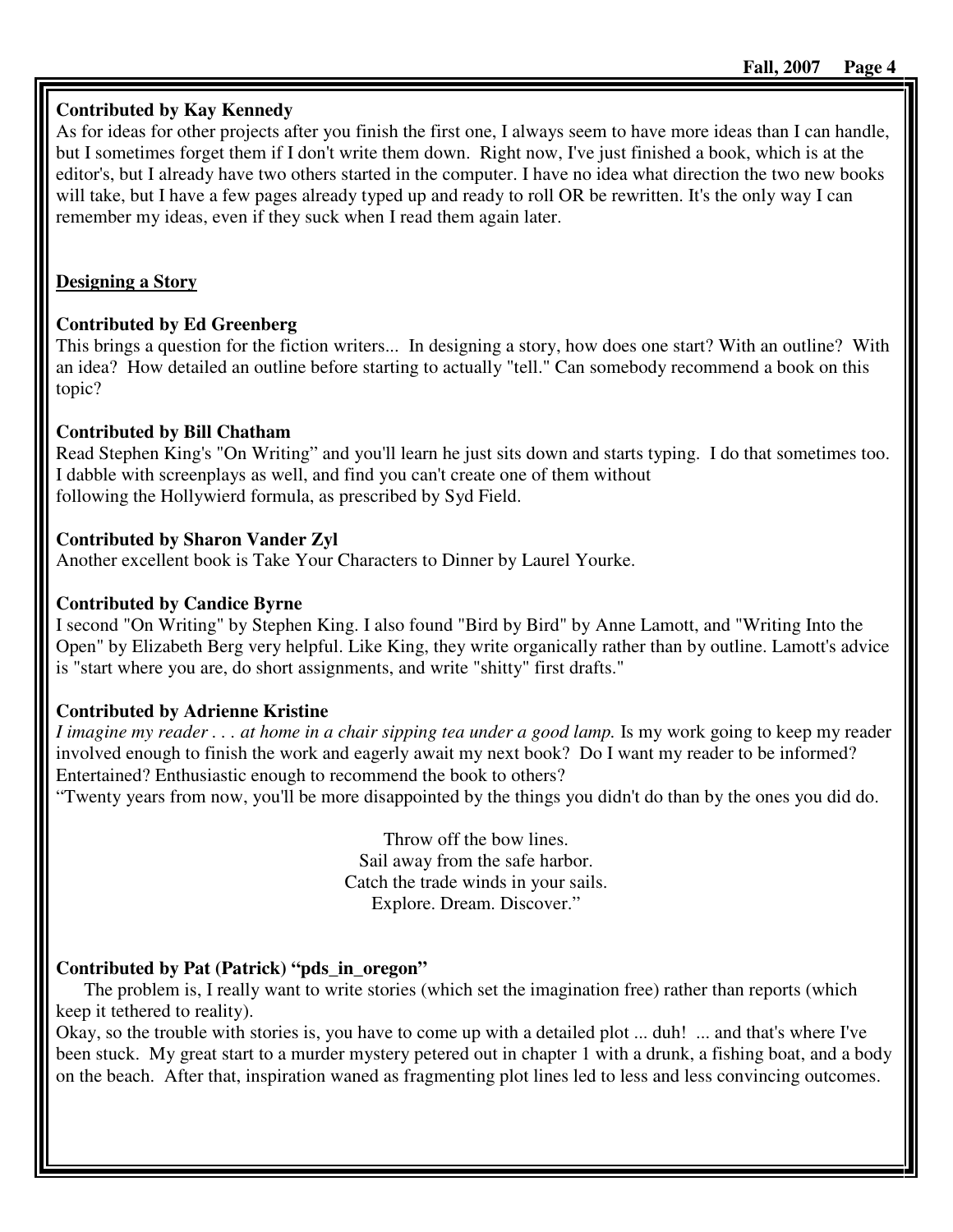# **Contributed by Kay Kennedy**

As for ideas for other projects after you finish the first one, I always seem to have more ideas than I can handle, but I sometimes forget them if I don't write them down. Right now, I've just finished a book, which is at the editor's, but I already have two others started in the computer. I have no idea what direction the two new books will take, but I have a few pages already typed up and ready to roll OR be rewritten. It's the only way I can remember my ideas, even if they suck when I read them again later.

# **Designing a Story**

# **Contributed by Ed Greenberg**

This brings a question for the fiction writers... In designing a story, how does one start? With an outline? With an idea? How detailed an outline before starting to actually "tell." Can somebody recommend a book on this topic?

# **Contributed by Bill Chatham**

Read Stephen King's "On Writing" and you'll learn he just sits down and starts typing. I do that sometimes too. I dabble with screenplays as well, and find you can't create one of them without following the Hollywierd formula, as prescribed by Syd Field.

# **Contributed by Sharon Vander Zyl**

Another excellent book is Take Your Characters to Dinner by Laurel Yourke.

# **Contributed by Candice Byrne**

I second "On Writing" by Stephen King. I also found "Bird by Bird" by Anne Lamott, and "Writing Into the Open" by Elizabeth Berg very helpful. Like King, they write organically rather than by outline. Lamott's advice is "start where you are, do short assignments, and write "shitty" first drafts."

# **Contributed by Adrienne Kristine**

*I imagine my reader . . . at home in a chair sipping tea under a good lamp.* Is my work going to keep my reader involved enough to finish the work and eagerly await my next book? Do I want my reader to be informed? Entertained? Enthusiastic enough to recommend the book to others?

"Twenty years from now, you'll be more disappointed by the things you didn't do than by the ones you did do.

Throw off the bow lines. Sail away from the safe harbor. Catch the trade winds in your sails. Explore. Dream. Discover."

# **Contributed by Pat (Patrick) "pds\_in\_oregon"**

The problem is, I really want to write stories (which set the imagination free) rather than reports (which keep it tethered to reality).

Okay, so the trouble with stories is, you have to come up with a detailed plot ... duh! ... and that's where I've been stuck. My great start to a murder mystery petered out in chapter 1 with a drunk, a fishing boat, and a body on the beach. After that, inspiration waned as fragmenting plot lines led to less and less convincing outcomes.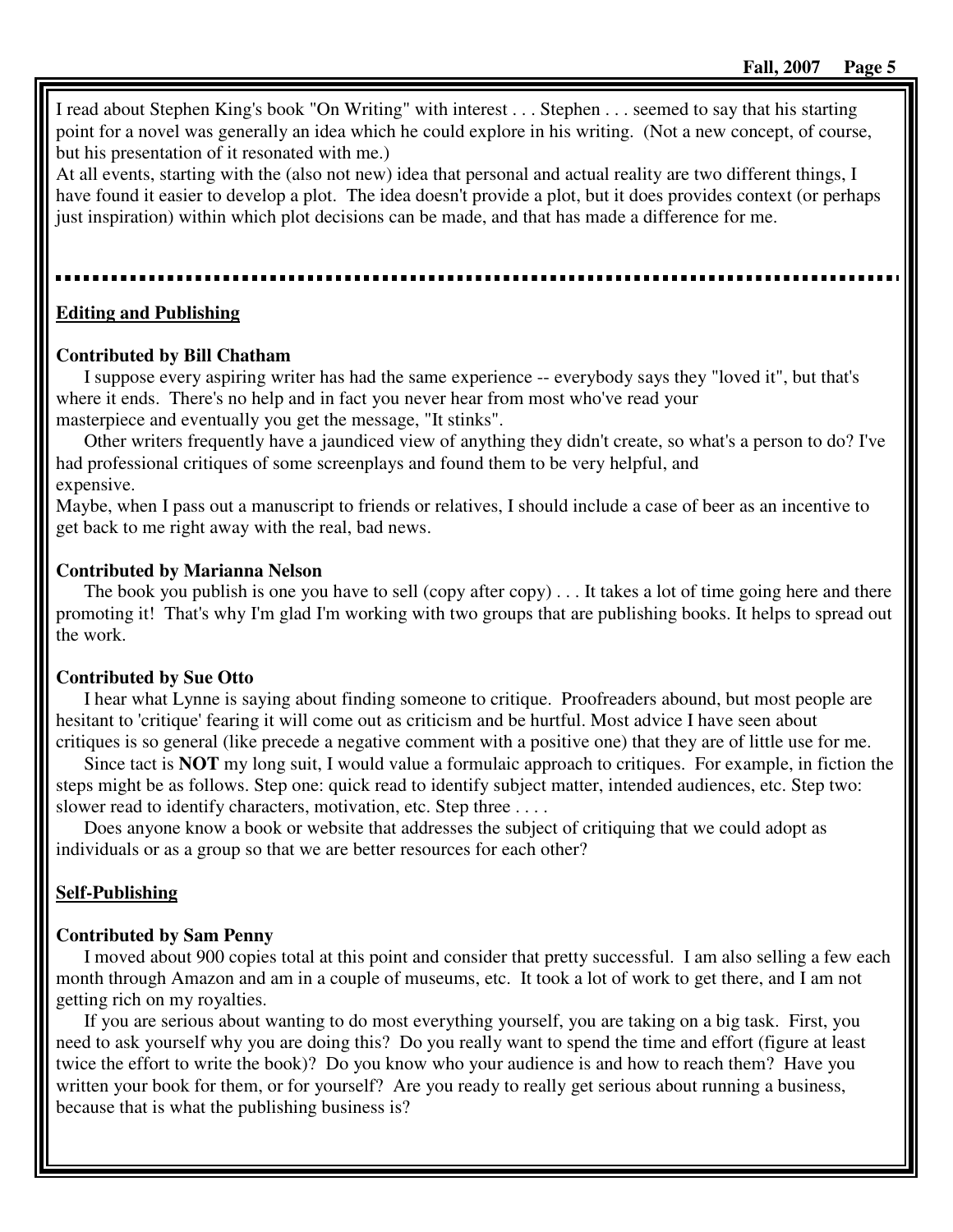I read about Stephen King's book "On Writing" with interest . . . Stephen . . . seemed to say that his starting point for a novel was generally an idea which he could explore in his writing. (Not a new concept, of course, but his presentation of it resonated with me.)

At all events, starting with the (also not new) idea that personal and actual reality are two different things, I have found it easier to develop a plot. The idea doesn't provide a plot, but it does provides context (or perhaps just inspiration) within which plot decisions can be made, and that has made a difference for me.

### **Editing and Publishing**

#### **Contributed by Bill Chatham**

I suppose every aspiring writer has had the same experience -- everybody says they "loved it", but that's where it ends. There's no help and in fact you never hear from most who've read your masterpiece and eventually you get the message, "It stinks".

Other writers frequently have a jaundiced view of anything they didn't create, so what's a person to do? I've had professional critiques of some screenplays and found them to be very helpful, and expensive.

Maybe, when I pass out a manuscript to friends or relatives, I should include a case of beer as an incentive to get back to me right away with the real, bad news.

#### **Contributed by Marianna Nelson**

The book you publish is one you have to sell (copy after copy) . . . It takes a lot of time going here and there promoting it! That's why I'm glad I'm working with two groups that are publishing books. It helps to spread out the work.

#### **Contributed by Sue Otto**

I hear what Lynne is saying about finding someone to critique. Proofreaders abound, but most people are hesitant to 'critique' fearing it will come out as criticism and be hurtful. Most advice I have seen about critiques is so general (like precede a negative comment with a positive one) that they are of little use for me.

Since tact is **NOT** my long suit, I would value a formulaic approach to critiques. For example, in fiction the steps might be as follows. Step one: quick read to identify subject matter, intended audiences, etc. Step two: slower read to identify characters, motivation, etc. Step three ....

Does anyone know a book or website that addresses the subject of critiquing that we could adopt as individuals or as a group so that we are better resources for each other?

### **Self-Publishing**

#### **Contributed by Sam Penny**

I moved about 900 copies total at this point and consider that pretty successful. I am also selling a few each month through Amazon and am in a couple of museums, etc. It took a lot of work to get there, and I am not getting rich on my royalties.

If you are serious about wanting to do most everything yourself, you are taking on a big task. First, you need to ask yourself why you are doing this? Do you really want to spend the time and effort (figure at least twice the effort to write the book)? Do you know who your audience is and how to reach them? Have you written your book for them, or for yourself? Are you ready to really get serious about running a business, because that is what the publishing business is?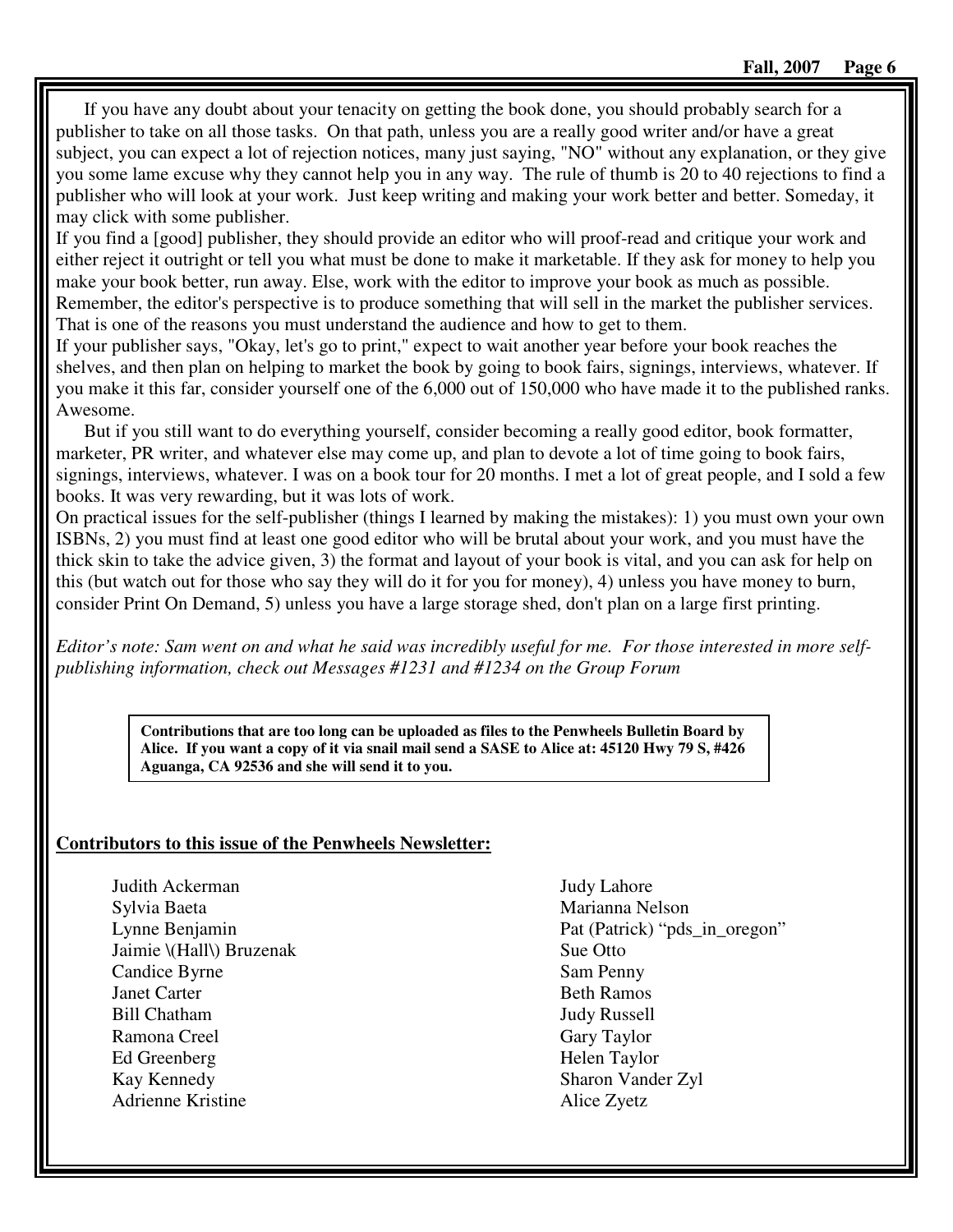If you have any doubt about your tenacity on getting the book done, you should probably search for a publisher to take on all those tasks. On that path, unless you are a really good writer and/or have a great subject, you can expect a lot of rejection notices, many just saying, "NO" without any explanation, or they give you some lame excuse why they cannot help you in any way. The rule of thumb is 20 to 40 rejections to find a publisher who will look at your work. Just keep writing and making your work better and better. Someday, it may click with some publisher.

If you find a [good] publisher, they should provide an editor who will proof-read and critique your work and either reject it outright or tell you what must be done to make it marketable. If they ask for money to help you make your book better, run away. Else, work with the editor to improve your book as much as possible. Remember, the editor's perspective is to produce something that will sell in the market the publisher services. That is one of the reasons you must understand the audience and how to get to them.

If your publisher says, "Okay, let's go to print," expect to wait another year before your book reaches the shelves, and then plan on helping to market the book by going to book fairs, signings, interviews, whatever. If you make it this far, consider yourself one of the 6,000 out of 150,000 who have made it to the published ranks. Awesome.

But if you still want to do everything yourself, consider becoming a really good editor, book formatter, marketer, PR writer, and whatever else may come up, and plan to devote a lot of time going to book fairs, signings, interviews, whatever. I was on a book tour for 20 months. I met a lot of great people, and I sold a few books. It was very rewarding, but it was lots of work.

On practical issues for the self-publisher (things I learned by making the mistakes): 1) you must own your own ISBNs, 2) you must find at least one good editor who will be brutal about your work, and you must have the thick skin to take the advice given, 3) the format and layout of your book is vital, and you can ask for help on this (but watch out for those who say they will do it for you for money), 4) unless you have money to burn, consider Print On Demand, 5) unless you have a large storage shed, don't plan on a large first printing.

*Editor's note: Sam went on and what he said was incredibly useful for me. For those interested in more selfpublishing information, check out Messages #1231 and #1234 on the Group Forum* 

> **Contributions that are too long can be uploaded as files to the Penwheels Bulletin Board by Alice. If you want a copy of it via snail mail send a SASE to Alice at: 45120 Hwy 79 S, #426 Aguanga, CA 92536 and she will send it to you.**

### **Contributors to this issue of the Penwheels Newsletter:**

Judith Ackerman Sylvia Baeta Lynne Benjamin Jaimie \(Hall\) Bruzenak Candice Byrne Janet Carter Bill Chatham Ramona Creel Ed Greenberg Kay Kennedy Adrienne Kristine

Judy Lahore Marianna Nelson Pat (Patrick) "pds\_in\_oregon" Sue Otto Sam Penny Beth Ramos Judy Russell Gary Taylor Helen Taylor Sharon Vander Zyl Alice Zyetz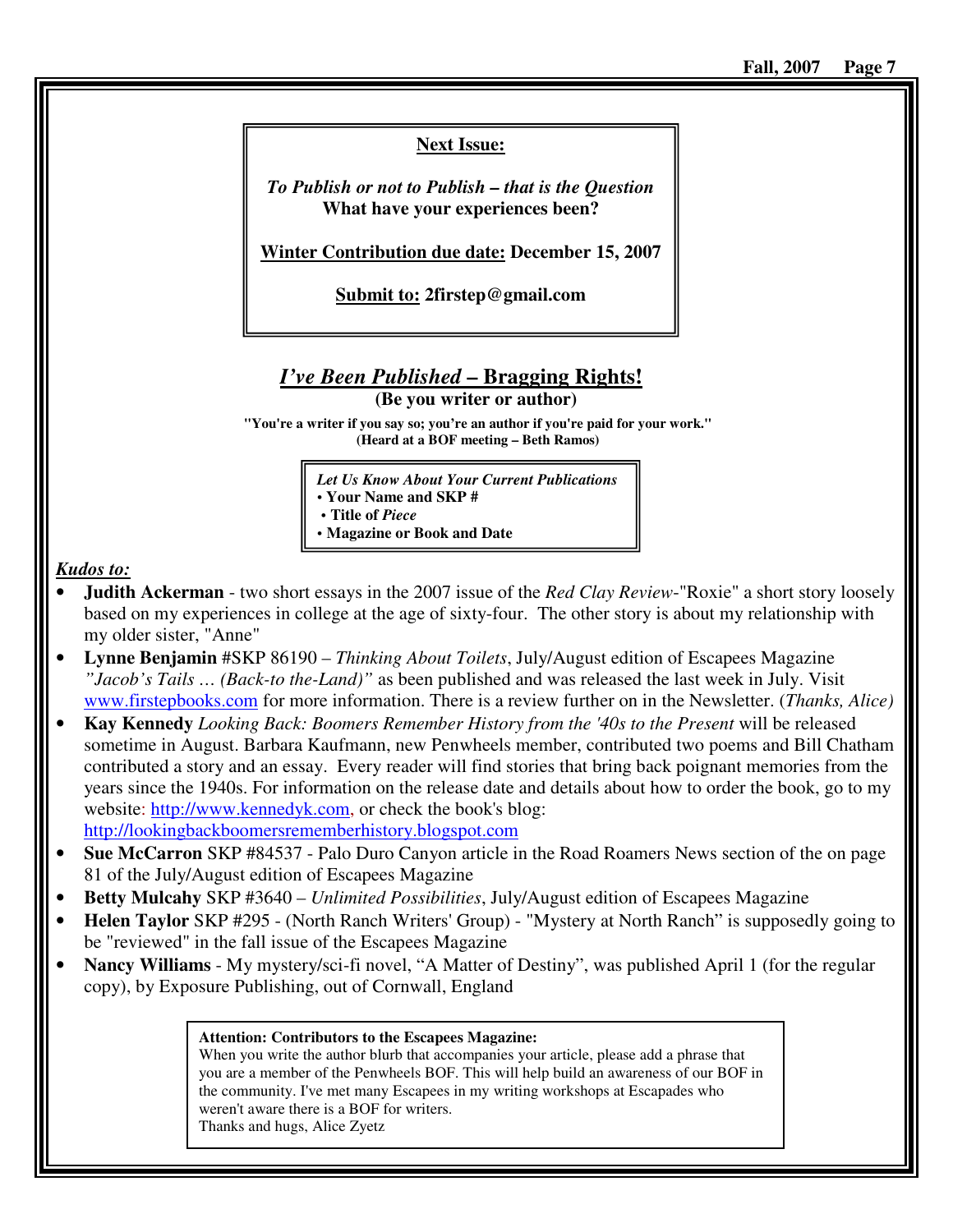# **Next Issue:**

*To Publish or not to Publish – that is the Question* **What have your experiences been?** 

**Winter Contribution due date: December 15, 2007**

**Submit to: 2firstep@gmail.com** 

# *I've Been Published* **– Bragging Rights!**

**(Be you writer or author)** 

**"You're a writer if you say so; you're an author if you're paid for your work." (Heard at a BOF meeting – Beth Ramos)**

> *Let Us Know About Your Current Publications*  **• Your Name and SKP # • Title of** *Piece*

**• Magazine or Book and Date** 

*Kudos to:*

- **Judith Ackerman** two short essays in the 2007 issue of the *Red Clay Review*-"Roxie" a short story loosely based on my experiences in college at the age of sixty-four. The other story is about my relationship with my older sister, "Anne"
- **Lynne Benjamin** #SKP 86190 *Thinking About Toilets*, July/August edition of Escapees Magazine *"Jacob's Tails … (Back-to the-Land)"* as been published and was released the last week in July. Visit www.firstepbooks.com for more information. There is a review further on in the Newsletter. (*Thanks, Alice)*
- **Kay Kennedy** *Looking Back: Boomers Remember History from the '40s to the Present* will be released sometime in August. Barbara Kaufmann, new Penwheels member, contributed two poems and Bill Chatham contributed a story and an essay. Every reader will find stories that bring back poignant memories from the years since the 1940s. For information on the release date and details about how to order the book, go to my website: http://www.kennedyk.com, or check the book's blog:

http://lookingbackboomersrememberhistory.blogspot.com

- **Sue McCarron** SKP #84537 Palo Duro Canyon article in the Road Roamers News section of the on page 81 of the July/August edition of Escapees Magazine
- **Betty Mulcahy** SKP #3640 *Unlimited Possibilities*, July/August edition of Escapees Magazine
- **Helen Taylor** SKP #295 (North Ranch Writers' Group) "Mystery at North Ranch" is supposedly going to be "reviewed" in the fall issue of the Escapees Magazine
- **Nancy Williams** My mystery/sci-fi novel, "A Matter of Destiny", was published April 1 (for the regular copy), by Exposure Publishing, out of Cornwall, England

#### **Attention: Contributors to the Escapees Magazine:**

When you write the author blurb that accompanies your article, please add a phrase that you are a member of the Penwheels BOF. This will help build an awareness of our BOF in the community. I've met many Escapees in my writing workshops at Escapades who weren't aware there is a BOF for writers. Thanks and hugs, Alice Zyetz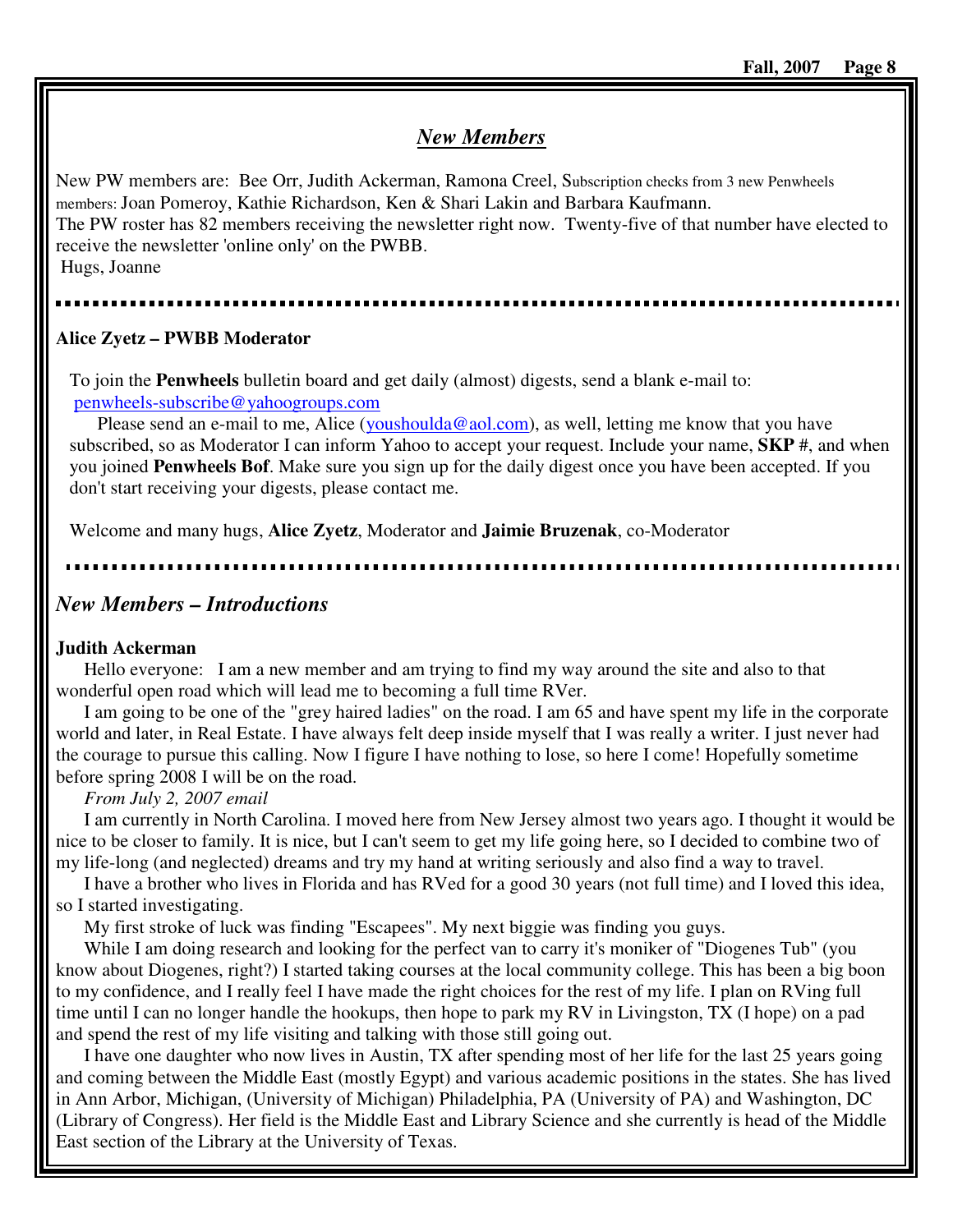# *New Members*

New PW members are: Bee Orr, Judith Ackerman, Ramona Creel, Subscription checks from 3 new Penwheels members: Joan Pomeroy, Kathie Richardson, Ken & Shari Lakin and Barbara Kaufmann. The PW roster has 82 members receiving the newsletter right now. Twenty-five of that number have elected to receive the newsletter 'online only' on the PWBB. Hugs, Joanne

# **Alice Zyetz – PWBB Moderator**

To join the **Penwheels** bulletin board and get daily (almost) digests, send a blank e-mail to: penwheels-subscribe@yahoogroups.com

Please send an e-mail to me, Alice (youshoulda@aol.com), as well, letting me know that you have subscribed, so as Moderator I can inform Yahoo to accept your request. Include your name, **SKP** #, and when you joined **Penwheels Bof**. Make sure you sign up for the daily digest once you have been accepted. If you don't start receiving your digests, please contact me.

Welcome and many hugs, **Alice Zyetz**, Moderator and **Jaimie Bruzenak**, co-Moderator

# *New Members – Introductions*

### **Judith Ackerman**

Hello everyone: I am a new member and am trying to find my way around the site and also to that wonderful open road which will lead me to becoming a full time RVer.

I am going to be one of the "grey haired ladies" on the road. I am 65 and have spent my life in the corporate world and later, in Real Estate. I have always felt deep inside myself that I was really a writer. I just never had the courage to pursue this calling. Now I figure I have nothing to lose, so here I come! Hopefully sometime before spring 2008 I will be on the road.

### *From July 2, 2007 email*

I am currently in North Carolina. I moved here from New Jersey almost two years ago. I thought it would be nice to be closer to family. It is nice, but I can't seem to get my life going here, so I decided to combine two of my life-long (and neglected) dreams and try my hand at writing seriously and also find a way to travel.

I have a brother who lives in Florida and has RVed for a good 30 years (not full time) and I loved this idea, so I started investigating.

My first stroke of luck was finding "Escapees". My next biggie was finding you guys.

While I am doing research and looking for the perfect van to carry it's moniker of "Diogenes Tub" (you know about Diogenes, right?) I started taking courses at the local community college. This has been a big boon to my confidence, and I really feel I have made the right choices for the rest of my life. I plan on RVing full time until I can no longer handle the hookups, then hope to park my RV in Livingston, TX (I hope) on a pad and spend the rest of my life visiting and talking with those still going out.

I have one daughter who now lives in Austin, TX after spending most of her life for the last 25 years going and coming between the Middle East (mostly Egypt) and various academic positions in the states. She has lived in Ann Arbor, Michigan, (University of Michigan) Philadelphia, PA (University of PA) and Washington, DC (Library of Congress). Her field is the Middle East and Library Science and she currently is head of the Middle East section of the Library at the University of Texas.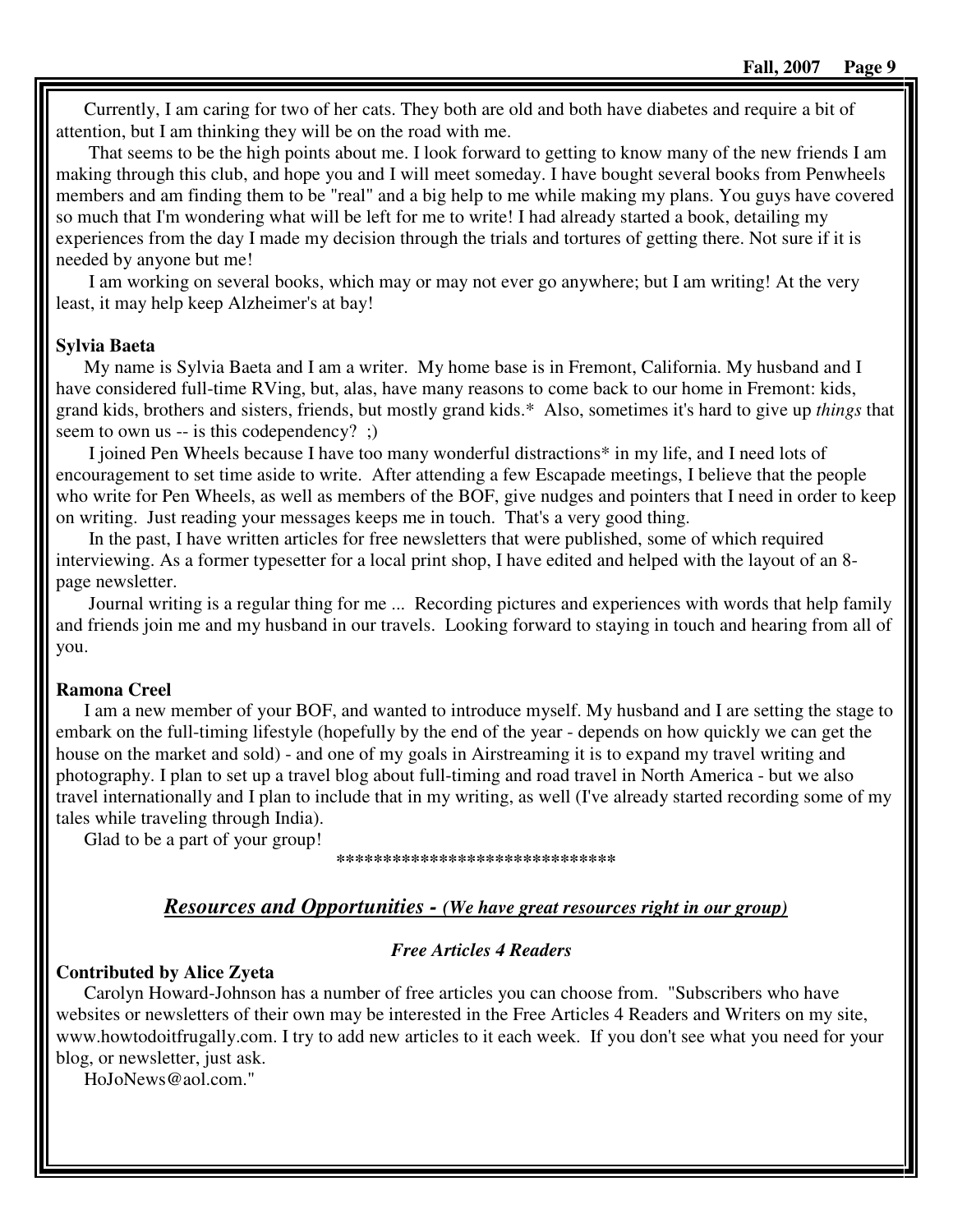Currently, I am caring for two of her cats. They both are old and both have diabetes and require a bit of attention, but I am thinking they will be on the road with me.

 That seems to be the high points about me. I look forward to getting to know many of the new friends I am making through this club, and hope you and I will meet someday. I have bought several books from Penwheels members and am finding them to be "real" and a big help to me while making my plans. You guys have covered so much that I'm wondering what will be left for me to write! I had already started a book, detailing my experiences from the day I made my decision through the trials and tortures of getting there. Not sure if it is needed by anyone but me!

 I am working on several books, which may or may not ever go anywhere; but I am writing! At the very least, it may help keep Alzheimer's at bay!

#### **Sylvia Baeta**

My name is Sylvia Baeta and I am a writer. My home base is in Fremont, California. My husband and I have considered full-time RVing, but, alas, have many reasons to come back to our home in Fremont: kids, grand kids, brothers and sisters, friends, but mostly grand kids.\* Also, sometimes it's hard to give up *things* that seem to own us -- is this codependency? ;)

 I joined Pen Wheels because I have too many wonderful distractions\* in my life, and I need lots of encouragement to set time aside to write. After attending a few Escapade meetings, I believe that the people who write for Pen Wheels, as well as members of the BOF, give nudges and pointers that I need in order to keep on writing. Just reading your messages keeps me in touch. That's a very good thing.

 In the past, I have written articles for free newsletters that were published, some of which required interviewing. As a former typesetter for a local print shop, I have edited and helped with the layout of an 8 page newsletter.

 Journal writing is a regular thing for me ... Recording pictures and experiences with words that help family and friends join me and my husband in our travels. Looking forward to staying in touch and hearing from all of you.

### **Ramona Creel**

I am a new member of your BOF, and wanted to introduce myself. My husband and I are setting the stage to embark on the full-timing lifestyle (hopefully by the end of the year - depends on how quickly we can get the house on the market and sold) - and one of my goals in Airstreaming it is to expand my travel writing and photography. I plan to set up a travel blog about full-timing and road travel in North America - but we also travel internationally and I plan to include that in my writing, as well (I've already started recording some of my tales while traveling through India).

Glad to be a part of your group!

#### **\*\*\*\*\*\*\*\*\*\*\*\*\*\*\*\*\*\*\*\*\*\*\*\*\*\*\*\*\*\***

# *Resources and Opportunities - (We have great resources right in our group)*

### *Free Articles 4 Readers*

#### **Contributed by Alice Zyeta**

Carolyn Howard-Johnson has a number of free articles you can choose from. "Subscribers who have websites or newsletters of their own may be interested in the Free Articles 4 Readers and Writers on my site, www.howtodoitfrugally.com. I try to add new articles to it each week. If you don't see what you need for your blog, or newsletter, just ask.

HoJoNews@aol.com."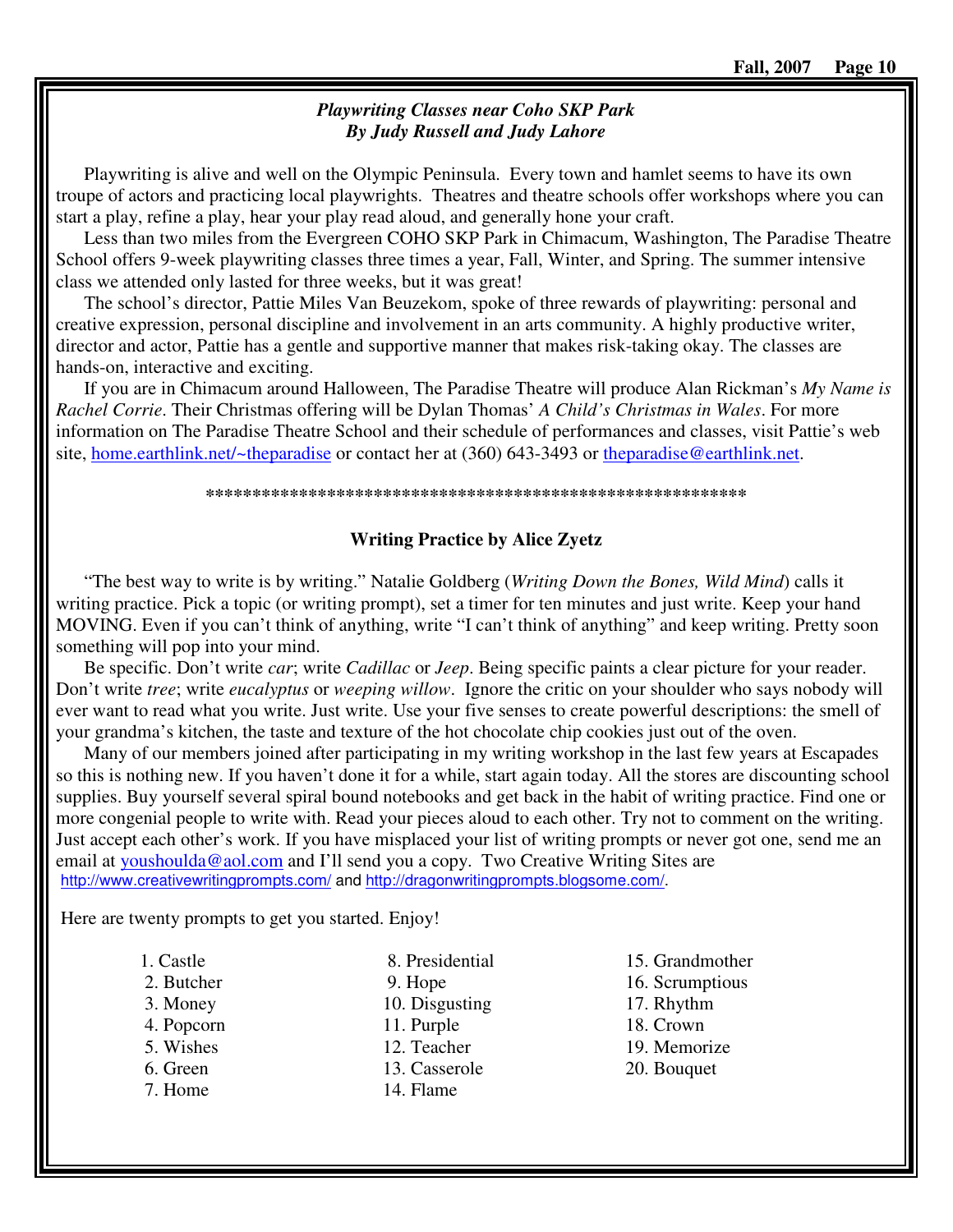# *Playwriting Classes near Coho SKP Park By Judy Russell and Judy Lahore*

Playwriting is alive and well on the Olympic Peninsula. Every town and hamlet seems to have its own troupe of actors and practicing local playwrights. Theatres and theatre schools offer workshops where you can start a play, refine a play, hear your play read aloud, and generally hone your craft.

Less than two miles from the Evergreen COHO SKP Park in Chimacum, Washington, The Paradise Theatre School offers 9-week playwriting classes three times a year, Fall, Winter, and Spring. The summer intensive class we attended only lasted for three weeks, but it was great!

The school's director, Pattie Miles Van Beuzekom, spoke of three rewards of playwriting: personal and creative expression, personal discipline and involvement in an arts community. A highly productive writer, director and actor, Pattie has a gentle and supportive manner that makes risk-taking okay. The classes are hands-on, interactive and exciting.

If you are in Chimacum around Halloween, The Paradise Theatre will produce Alan Rickman's *My Name is Rachel Corrie*. Their Christmas offering will be Dylan Thomas' *A Child's Christmas in Wales*. For more information on The Paradise Theatre School and their schedule of performances and classes, visit Pattie's web site, home.earthlink.net/~theparadise or contact her at (360) 643-3493 or theparadise@earthlink.net.

#### **\*\*\*\*\*\*\*\*\*\*\*\*\*\*\*\*\*\*\*\*\*\*\*\*\*\*\*\*\*\*\*\*\*\*\*\*\*\*\*\*\*\*\*\*\*\*\*\*\*\*\*\*\*\*\*\*\*\***

# **Writing Practice by Alice Zyetz**

"The best way to write is by writing." Natalie Goldberg (*Writing Down the Bones, Wild Mind*) calls it writing practice. Pick a topic (or writing prompt), set a timer for ten minutes and just write. Keep your hand MOVING. Even if you can't think of anything, write "I can't think of anything" and keep writing. Pretty soon something will pop into your mind.

Be specific. Don't write *car*; write *Cadillac* or *Jeep*. Being specific paints a clear picture for your reader. Don't write *tree*; write *eucalyptus* or *weeping willow*. Ignore the critic on your shoulder who says nobody will ever want to read what you write. Just write. Use your five senses to create powerful descriptions: the smell of your grandma's kitchen, the taste and texture of the hot chocolate chip cookies just out of the oven.

Many of our members joined after participating in my writing workshop in the last few years at Escapades so this is nothing new. If you haven't done it for a while, start again today. All the stores are discounting school supplies. Buy yourself several spiral bound notebooks and get back in the habit of writing practice. Find one or more congenial people to write with. Read your pieces aloud to each other. Try not to comment on the writing. Just accept each other's work. If you have misplaced your list of writing prompts or never got one, send me an email at youshoulda@aol.com and I'll send you a copy. Two Creative Writing Sites are http://www.creativewritingprompts.com/ and http://dragonwritingprompts.blogsome.com/.

Here are twenty prompts to get you started. Enjoy!

# 1. Castle

- 2. Butcher
- 3. Money
- 4. Popcorn
- 5. Wishes
- 6. Green
- 7. Home

 9. Hope 10. Disgusting 11. Purple 12. Teacher

8. Presidential

- 13. Casserole
- 14. Flame

15. Grandmother 16. Scrumptious 17. Rhythm 18. Crown 19. Memorize 20. Bouquet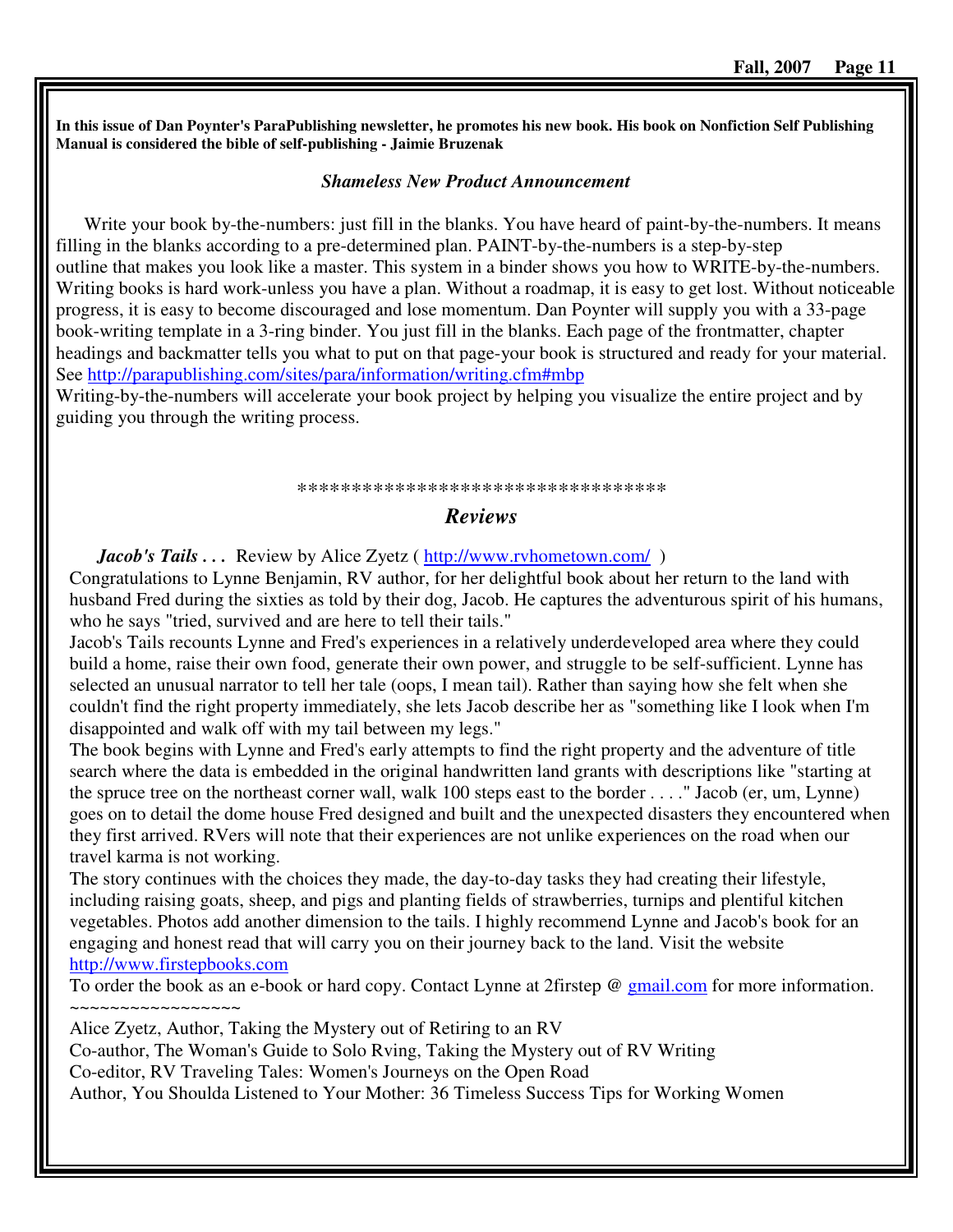**In this issue of Dan Poynter's ParaPublishing newsletter, he promotes his new book. His book on Nonfiction Self Publishing Manual is considered the bible of self-publishing - Jaimie Bruzenak** 

#### *Shameless New Product Announcement*

Write your book by-the-numbers: just fill in the blanks. You have heard of paint-by-the-numbers. It means filling in the blanks according to a pre-determined plan. PAINT-by-the-numbers is a step-by-step outline that makes you look like a master. This system in a binder shows you how to WRITE-by-the-numbers. Writing books is hard work-unless you have a plan. Without a roadmap, it is easy to get lost. Without noticeable progress, it is easy to become discouraged and lose momentum. Dan Poynter will supply you with a 33-page book-writing template in a 3-ring binder. You just fill in the blanks. Each page of the frontmatter, chapter headings and backmatter tells you what to put on that page-your book is structured and ready for your material. See http://parapublishing.com/sites/para/information/writing.cfm#mbp

Writing-by-the-numbers will accelerate your book project by helping you visualize the entire project and by guiding you through the writing process.

#### \*\*\*\*\*\*\*\*\*\*\*\*\*\*\*\*\*\*\*\*\*\*\*\*\*\*\*\*\*\*\*\*\*\*

#### *Reviews*

*Jacob's Tails* . . . Review by Alice Zyetz ( http://www.rvhometown.com/ ) Congratulations to Lynne Benjamin, RV author, for her delightful book about her return to the land with

husband Fred during the sixties as told by their dog, Jacob. He captures the adventurous spirit of his humans, who he says "tried, survived and are here to tell their tails."

Jacob's Tails recounts Lynne and Fred's experiences in a relatively underdeveloped area where they could build a home, raise their own food, generate their own power, and struggle to be self-sufficient. Lynne has selected an unusual narrator to tell her tale (oops, I mean tail). Rather than saying how she felt when she couldn't find the right property immediately, she lets Jacob describe her as "something like I look when I'm disappointed and walk off with my tail between my legs."

The book begins with Lynne and Fred's early attempts to find the right property and the adventure of title search where the data is embedded in the original handwritten land grants with descriptions like "starting at the spruce tree on the northeast corner wall, walk 100 steps east to the border . . . ." Jacob (er, um, Lynne) goes on to detail the dome house Fred designed and built and the unexpected disasters they encountered when they first arrived. RVers will note that their experiences are not unlike experiences on the road when our travel karma is not working.

The story continues with the choices they made, the day-to-day tasks they had creating their lifestyle, including raising goats, sheep, and pigs and planting fields of strawberries, turnips and plentiful kitchen vegetables. Photos add another dimension to the tails. I highly recommend Lynne and Jacob's book for an engaging and honest read that will carry you on their journey back to the land. Visit the website http://www.firstepbooks.com

To order the book as an e-book or hard copy. Contact Lynne at 2firstep @ gmail.com for more information.

~~~~~~~~~~~~~~~~~

Alice Zyetz, Author, Taking the Mystery out of Retiring to an RV Co-author, The Woman's Guide to Solo Rving, Taking the Mystery out of RV Writing Co-editor, RV Traveling Tales: Women's Journeys on the Open Road Author, You Shoulda Listened to Your Mother: 36 Timeless Success Tips for Working Women